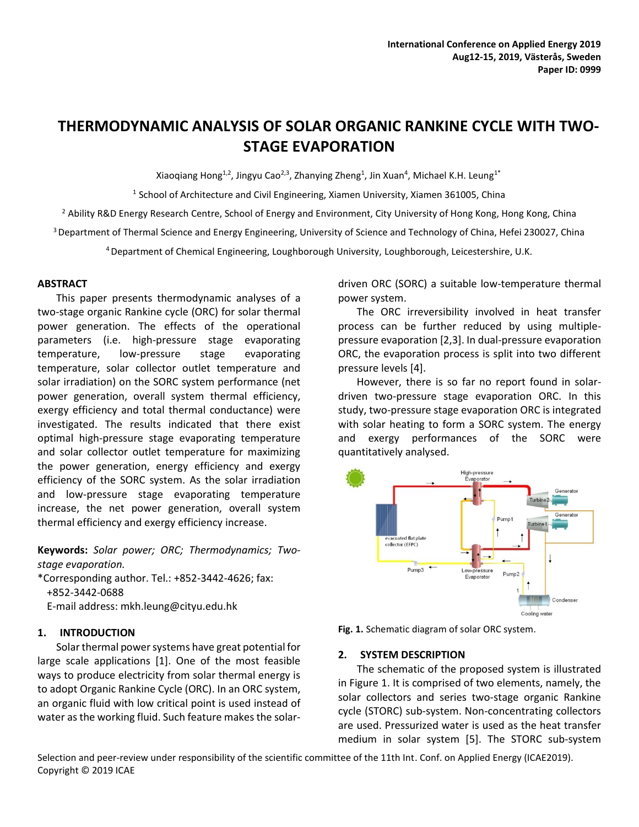# **THERMODYNAMIC ANALYSIS OF SOLAR ORGANIC RANKINE CYCLE WITH TWO-STAGE EVAPORATION**

Xiaoqiang Hong<sup>1,2</sup>, Jingyu Cao<sup>2,3</sup>, Zhanying Zheng<sup>1</sup>, Jin Xuan<sup>4</sup>, Michael K.H. Leung<sup>1\*</sup>

<sup>1</sup> School of Architecture and Civil Engineering, Xiamen University, Xiamen 361005, China

<sup>2</sup> Ability R&D Energy Research Centre, School of Energy and Environment, City University of Hong Kong, Hong Kong, China

<sup>3</sup> Department of Thermal Science and Energy Engineering, University of Science and Technology of China, Hefei 230027, China

<sup>4</sup>Department of Chemical Engineering, Loughborough University, Loughborough, Leicestershire, U.K.

## **ABSTRACT**

This paper presents thermodynamic analyses of a two-stage organic Rankine cycle (ORC) for solar thermal power generation. The effects of the operational parameters (i.e. high-pressure stage evaporating temperature, low-pressure stage evaporating temperature, solar collector outlet temperature and solar irradiation) on the SORC system performance (net power generation, overall system thermal efficiency, exergy efficiency and total thermal conductance) were investigated. The results indicated that there exist optimal high-pressure stage evaporating temperature and solar collector outlet temperature for maximizing the power generation, energy efficiency and exergy efficiency of the SORC system. As the solar irradiation and low-pressure stage evaporating temperature increase, the net power generation, overall system thermal efficiency and exergy efficiency increase.

**Keywords:** *Solar power; ORC; Thermodynamics; Twostage evaporation.* 

\*Corresponding author. Tel.: +852-3442-4626; fax: +852-3442-0688

E-mail address: mkh.leung@cityu.edu.hk

## **1. INTRODUCTION**

Solar thermal power systems have great potential for large scale applications [1]. One of the most feasible ways to produce electricity from solar thermal energy is to adopt Organic Rankine Cycle (ORC). In an ORC system, an organic fluid with low critical point is used instead of water as the working fluid. Such feature makes the solardriven ORC (SORC) a suitable low-temperature thermal power system.

The ORC irreversibility involved in heat transfer process can be further reduced by using multiplepressure evaporation [2,3]. In dual-pressure evaporation ORC, the evaporation process is split into two different pressure levels [4].

However, there is so far no report found in solardriven two-pressure stage evaporation ORC. In this study, two-pressure stage evaporation ORC is integrated with solar heating to form a SORC system. The energy and exergy performances of the SORC were quantitatively analysed.





## **2. SYSTEM DESCRIPTION**

The schematic of the proposed system is illustrated in Figure 1. It is comprised of two elements, namely, the solar collectors and series two-stage organic Rankine cycle (STORC) sub-system. Non-concentrating collectors are used. Pressurized water is used as the heat transfer medium in solar system [5]. The STORC sub-system

Selection and peer-review under responsibility of the scientific committee of the 11th Int. Conf. on Applied Energy (ICAE2019). Copyright © 2019 ICAE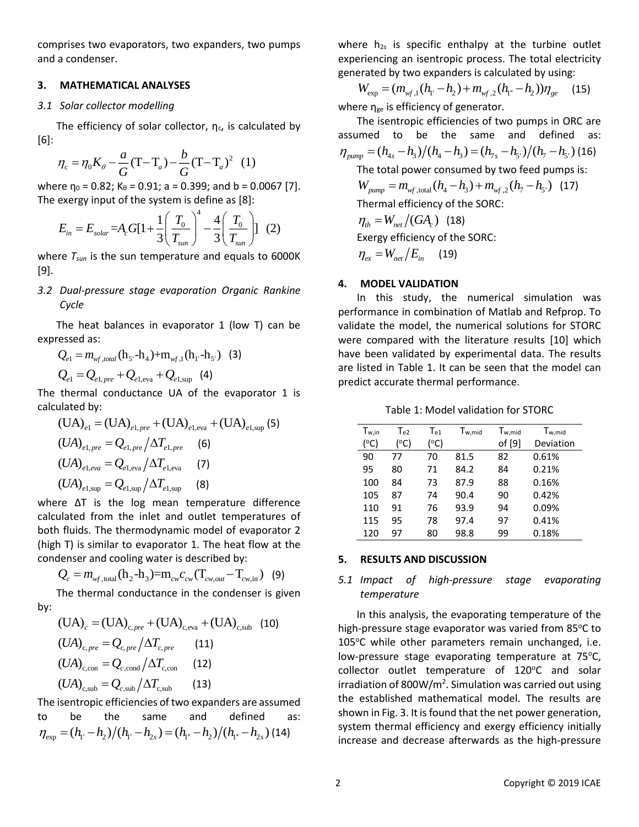comprises two evaporators, two expanders, two pumps and a condenser.

#### **3. MATHEMATICAL ANALYSES**

#### *3.1 Solar collector modelling*

The efficiency of solar collector,  $n_c$ , is calculated by [6]:

$$
\eta_c = \eta_0 K_\theta - \frac{a}{G} (T - T_a) - \frac{b}{G} (T - T_a)^2
$$
 (1)

where  $\eta_0 = 0.82$ ; K<sub>θ</sub> = 0.91; a = 0.399; and b = 0.0067 [7]. The exergy input of the system is define as [8]:

$$
E_{in} = E_{solar} = A_c G[1 + \frac{1}{3} \left( \frac{T_0}{T_{sun}} \right)^4 - \frac{4}{3} \left( \frac{T_0}{T_{sun}} \right)] \tag{2}
$$

where *Tsun* is the sun temperature and equals to 6000K [9].

*3.2 Dual-pressure stage evaporation Organic Rankine Cycle*

The heat balances in evaporator 1 (low T) can be expressed as:

$$
Q_{e1} = m_{wf,total} (h_{5} - h_{4}) + m_{wf,1} (h_{1} - h_{5})
$$
 (3)  

$$
Q_{e1} = Q_{e1,pre} + Q_{e1,eva} + Q_{e1, sup}
$$
 (4)

The thermal conductance UA of the evaporator 1 is calculated by:

$$
(UA)_{e1} = (UA)_{e1, pre} + (UA)_{e1, eva} + (UA)_{e1, sup}
$$
\n
$$
(UA)_{e1, pre} = Q_{e1, pre} / \Delta T_{e1, pre}
$$
\n
$$
(OA)_{e1, eva} = Q_{e1, eva} / \Delta T_{e1, eva}
$$
\n
$$
(UA)_{e1, sup} = Q_{e1, sup} / \Delta T_{e1, sup}
$$
\n(8)

where ΔT is the log mean temperature difference calculated from the inlet and outlet temperatures of both fluids. The thermodynamic model of evaporator 2 (high T) is similar to evaporator 1. The heat flow at the condenser and cooling water is described by:

$$
Q_c = m_{w_f, \text{total}}(h_2 - h_3) = m_{cw}c_{cw}(T_{cw,out} - T_{cw,in})
$$
 (9)

The thermal conductance in the condenser is given by:

$$
(UA)c = (UA)c, pre + (UA)c, eva + (UA)c, sub (10)(UA)c, pre = Qc, pre/\Delta Tc, pre (11)(UA)c, con = Qc, cond/\Delta Tc, con (12)(UA)c, sub = Qc, sub/\Delta Tc, sub (13)
$$

The isentropic efficiencies of two expanders are assumed to be the same and defined as:  $n_{\rm exp} = (h_{\rm i} - h_{\rm 2})/(h_{\rm i} - h_{\rm 2s}) = (h_{\rm i} - h_{\rm 2})/(h_{\rm i} - h_{\rm 2s})$  (14)

where  $h_{2s}$  is specific enthalpy at the turbine outlet experiencing an isentropic process. The total electricity generated by two expanders is calculated by using:

$$
W_{\rm exp} = (m_{\rm wf,1}(h_{\rm l} - h_2) + m_{\rm wf,2}(h_{\rm l} - h_2))\eta_{\rm ge} \tag{15}
$$

where  $\eta_{ge}$  is efficiency of generator.

The isentropic efficiencies of two pumps in ORC are assumed to be the same and defined as:  $\eta_{pump} = (h_{4s} - h_3)/(h_4 - h_3) = (h_{7s} - h_5)/(h_7 - h_5)$  (16) The total power consumed by two feed pumps is:  $W_{pump} = m_{_{W\!f,\,\text{total}}}(h_{4}-h_{3})+m_{_{W\!f,\,2}}(h_{7}-h_{5})$  (17) Thermal efficiency of the SORC:  $\eta_{th} = W_{net} / (GA_c)$  (18) Exergy efficiency of the SORC:  $\eta_{ex} = W_{net}/E_{in}$  (19)

# **4. MODEL VALIDATION**

In this study, the numerical simulation was performance in combination of Matlab and Refprop. To validate the model, the numerical solutions for STORC were compared with the literature results [10] which have been validated by experimental data. The results are listed in Table 1. It can be seen that the model can predict accurate thermal performance.

Table 1: Model validation for STORC

| $T_{w,in}$ | $T_{e2}$ | Te <sub>1</sub> | T <sub>w,mid</sub> | $T_{w, mid}$ | $T_{w, mid}$ |
|------------|----------|-----------------|--------------------|--------------|--------------|
| °C)        | °C)      | °C)             |                    | of [9]       | Deviation    |
| 90         | 77       | 70              | 81.5               | 82           | 0.61%        |
| 95         | 80       | 71              | 84.2               | 84           | 0.21%        |
| 100        | 84       | 73              | 87.9               | 88           | 0.16%        |
| 105        | 87       | 74              | 90.4               | 90           | 0.42%        |
| 110        | 91       | 76              | 93.9               | 94           | 0.09%        |
| 115        | 95       | 78              | 97.4               | 97           | 0.41%        |
| 120        | 97       | 80              | 98.8               | 99           | 0.18%        |

## **5. RESULTS AND DISCUSSION**

# *5.1 Impact of high-pressure stage evaporating temperature*

In this analysis, the evaporating temperature of the high-pressure stage evaporator was varied from 85 $\degree$ C to 105°C while other parameters remain unchanged, i.e. low-pressure stage evaporating temperature at  $75^{\circ}$ C,  $collector$  outlet temperature of 120 $^{\circ}$ C and solar irradiation of 800W/m<sup>2</sup>. Simulation was carried out using the established mathematical model. The results are shown in Fig. 3. It is found that the net power generation, system thermal efficiency and exergy efficiency initially increase and decrease afterwards as the high-pressure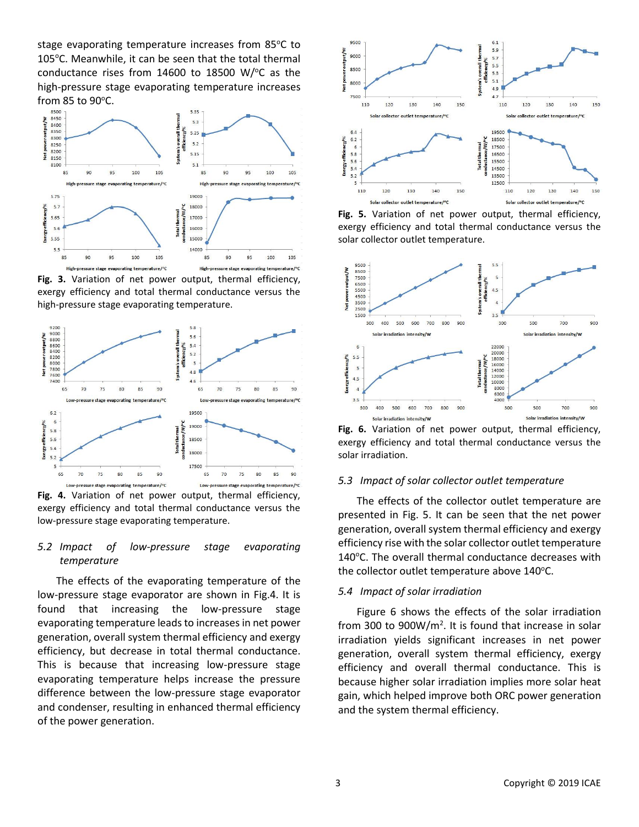stage evaporating temperature increases from 85°C to 105 $^{\circ}$ C. Meanwhile, it can be seen that the total thermal conductance rises from  $14600$  to  $18500$  W/ $\degree$ C as the high-pressure stage evaporating temperature increases from 85 to 90 $^{\circ}$ C.



**Fig. 3.** Variation of net power output, thermal efficiency, exergy efficiency and total thermal conductance versus the high-pressure stage evaporating temperature.



**Fig. 4.** Variation of net power output, thermal efficiency, exergy efficiency and total thermal conductance versus the low-pressure stage evaporating temperature.

## *5.2 Impact of low-pressure stage evaporating temperature*

The effects of the evaporating temperature of the low-pressure stage evaporator are shown in Fig.4. It is found that increasing the low-pressure stage evaporating temperature leads to increases in net power generation, overall system thermal efficiency and exergy efficiency, but decrease in total thermal conductance. This is because that increasing low-pressure stage evaporating temperature helps increase the pressure difference between the low-pressure stage evaporator and condenser, resulting in enhanced thermal efficiency of the power generation.



**Fig. 5.** Variation of net power output, thermal efficiency, exergy efficiency and total thermal conductance versus the solar collector outlet temperature.



**Fig. 6.** Variation of net power output, thermal efficiency, exergy efficiency and total thermal conductance versus the solar irradiation.

#### *5.3 Impact of solar collector outlet temperature*

The effects of the collector outlet temperature are presented in Fig. 5. It can be seen that the net power generation, overall system thermal efficiency and exergy efficiency rise with the solar collector outlet temperature 140°C. The overall thermal conductance decreases with the collector outlet temperature above  $140^{\circ}$ C.

#### *5.4 Impact of solar irradiation*

Figure 6 shows the effects of the solar irradiation from 300 to  $900W/m<sup>2</sup>$ . It is found that increase in solar irradiation yields significant increases in net power generation, overall system thermal efficiency, exergy efficiency and overall thermal conductance. This is because higher solar irradiation implies more solar heat gain, which helped improve both ORC power generation and the system thermal efficiency.